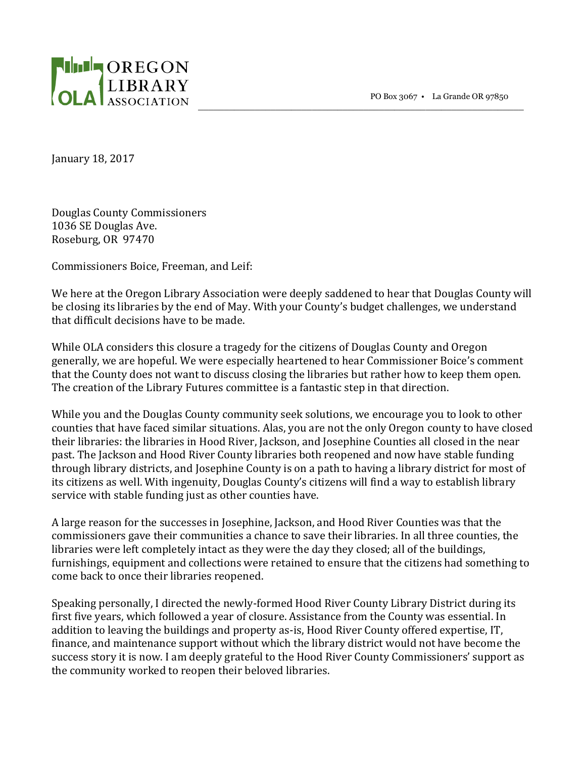PO Box 3067 • La Grande OR 97850

 $\overline{\phantom{a}}$  ,  $\overline{\phantom{a}}$  ,  $\overline{\phantom{a}}$  ,  $\overline{\phantom{a}}$  ,  $\overline{\phantom{a}}$  ,  $\overline{\phantom{a}}$  ,  $\overline{\phantom{a}}$  ,  $\overline{\phantom{a}}$  ,  $\overline{\phantom{a}}$  ,  $\overline{\phantom{a}}$  ,  $\overline{\phantom{a}}$  ,  $\overline{\phantom{a}}$  ,  $\overline{\phantom{a}}$  ,  $\overline{\phantom{a}}$  ,  $\overline{\phantom{a}}$  ,  $\overline{\phantom{a}}$ 



January 18, 2017

Douglas County Commissioners 1036 SE Douglas Ave. Roseburg, OR 97470

Commissioners Boice, Freeman, and Leif:

We here at the Oregon Library Association were deeply saddened to hear that Douglas County will be closing its libraries by the end of May. With your County's budget challenges, we understand that difficult decisions have to be made.

While OLA considers this closure a tragedy for the citizens of Douglas County and Oregon generally, we are hopeful. We were especially heartened to hear Commissioner Boice's comment that the County does not want to discuss closing the libraries but rather how to keep them open. The creation of the Library Futures committee is a fantastic step in that direction.

While you and the Douglas County community seek solutions, we encourage you to look to other counties that have faced similar situations. Alas, you are not the only Oregon county to have closed their libraries: the libraries in Hood River, Jackson, and Josephine Counties all closed in the near past. The Jackson and Hood River County libraries both reopened and now have stable funding through library districts, and Josephine County is on a path to having a library district for most of its citizens as well. With ingenuity, Douglas County's citizens will find a way to establish library service with stable funding just as other counties have.

A large reason for the successes in Josephine, Jackson, and Hood River Counties was that the commissioners gave their communities a chance to save their libraries. In all three counties, the libraries were left completely intact as they were the day they closed; all of the buildings, furnishings, equipment and collections were retained to ensure that the citizens had something to come back to once their libraries reopened.

Speaking personally, I directed the newly-formed Hood River County Library District during its first five years, which followed a year of closure. Assistance from the County was essential. In addition to leaving the buildings and property as-is, Hood River County offered expertise, IT, finance, and maintenance support without which the library district would not have become the success story it is now. I am deeply grateful to the Hood River County Commissioners' support as the community worked to reopen their beloved libraries.